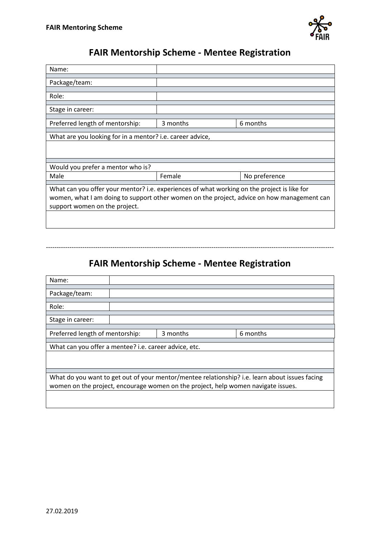

## **FAIR Mentorship Scheme - Mentee Registration**

| Name:                                                                                                                                                                                                                      |          |               |  |  |
|----------------------------------------------------------------------------------------------------------------------------------------------------------------------------------------------------------------------------|----------|---------------|--|--|
| Package/team:                                                                                                                                                                                                              |          |               |  |  |
| Role:                                                                                                                                                                                                                      |          |               |  |  |
| Stage in career:                                                                                                                                                                                                           |          |               |  |  |
| Preferred length of mentorship:                                                                                                                                                                                            | 3 months | 6 months      |  |  |
| What are you looking for in a mentor? i.e. career advice,                                                                                                                                                                  |          |               |  |  |
|                                                                                                                                                                                                                            |          |               |  |  |
| Would you prefer a mentor who is?                                                                                                                                                                                          |          |               |  |  |
| Male                                                                                                                                                                                                                       | Female   | No preference |  |  |
| What can you offer your mentor? i.e. experiences of what working on the project is like for<br>women, what I am doing to support other women on the project, advice on how management can<br>support women on the project. |          |               |  |  |

## **FAIR Mentorship Scheme - Mentee Registration**

--------------------------------------------------------------------------------------------------------------------------------------

| Name:                                                                                          |  |          |          |  |
|------------------------------------------------------------------------------------------------|--|----------|----------|--|
|                                                                                                |  |          |          |  |
| Package/team:                                                                                  |  |          |          |  |
|                                                                                                |  |          |          |  |
| Role:                                                                                          |  |          |          |  |
|                                                                                                |  |          |          |  |
| Stage in career:                                                                               |  |          |          |  |
|                                                                                                |  |          |          |  |
| Preferred length of mentorship:                                                                |  | 3 months | 6 months |  |
|                                                                                                |  |          |          |  |
| What can you offer a mentee? i.e. career advice, etc.                                          |  |          |          |  |
|                                                                                                |  |          |          |  |
|                                                                                                |  |          |          |  |
|                                                                                                |  |          |          |  |
| What do you want to get out of your mentor/mentee relationship? i.e. learn about issues facing |  |          |          |  |
| women on the project, encourage women on the project, help women navigate issues.              |  |          |          |  |
|                                                                                                |  |          |          |  |
|                                                                                                |  |          |          |  |
|                                                                                                |  |          |          |  |